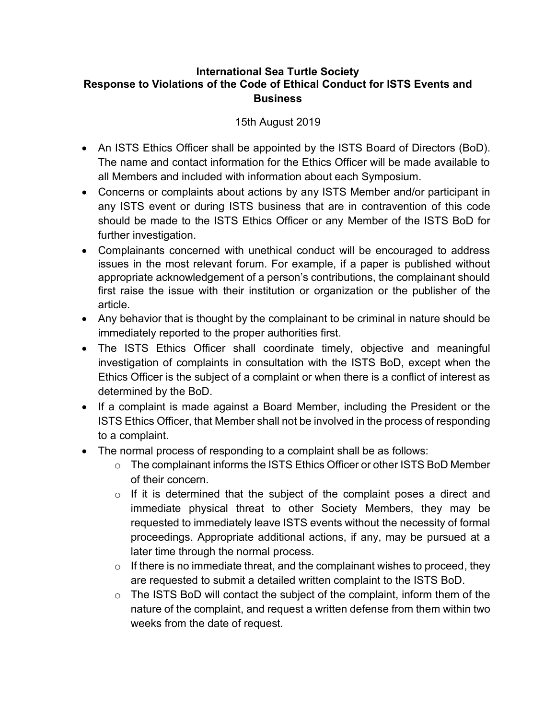## **International Sea Turtle Society Response to Violations of the Code of Ethical Conduct for ISTS Events and Business**

## 15th August 2019

- An ISTS Ethics Officer shall be appointed by the ISTS Board of Directors (BoD). The name and contact information for the Ethics Officer will be made available to all Members and included with information about each Symposium.
- Concerns or complaints about actions by any ISTS Member and/or participant in any ISTS event or during ISTS business that are in contravention of this code should be made to the ISTS Ethics Officer or any Member of the ISTS BoD for further investigation.
- Complainants concerned with unethical conduct will be encouraged to address issues in the most relevant forum. For example, if a paper is published without appropriate acknowledgement of a person's contributions, the complainant should first raise the issue with their institution or organization or the publisher of the article.
- Any behavior that is thought by the complainant to be criminal in nature should be immediately reported to the proper authorities first.
- The ISTS Ethics Officer shall coordinate timely, objective and meaningful investigation of complaints in consultation with the ISTS BoD, except when the Ethics Officer is the subject of a complaint or when there is a conflict of interest as determined by the BoD.
- If a complaint is made against a Board Member, including the President or the ISTS Ethics Officer, that Member shall not be involved in the process of responding to a complaint.
- The normal process of responding to a complaint shall be as follows:
	- o The complainant informs the ISTS Ethics Officer or other ISTS BoD Member of their concern.
	- $\circ$  If it is determined that the subject of the complaint poses a direct and immediate physical threat to other Society Members, they may be requested to immediately leave ISTS events without the necessity of formal proceedings. Appropriate additional actions, if any, may be pursued at a later time through the normal process.
	- $\circ$  If there is no immediate threat, and the complainant wishes to proceed, they are requested to submit a detailed written complaint to the ISTS BoD.
	- $\circ$  The ISTS BoD will contact the subject of the complaint, inform them of the nature of the complaint, and request a written defense from them within two weeks from the date of request.